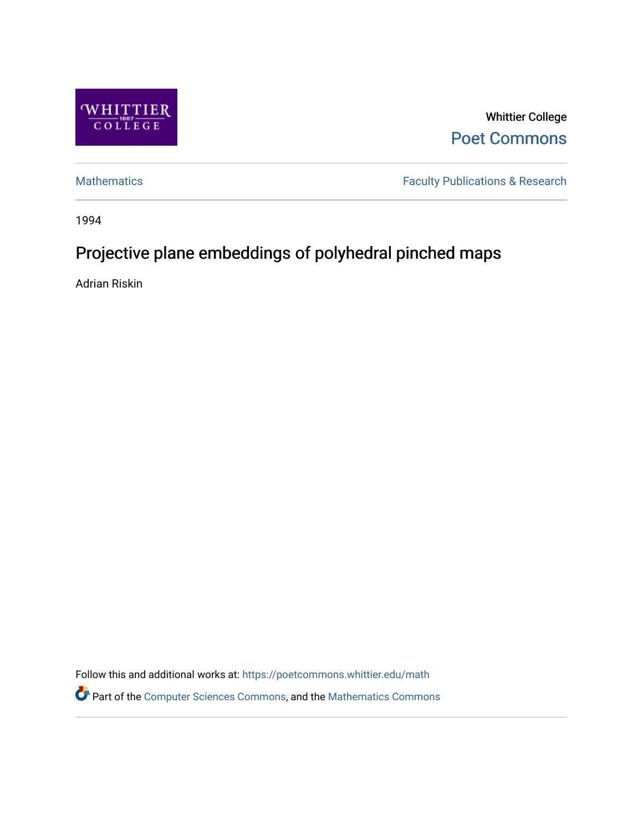

Whittier College [Poet Commons](https://poetcommons.whittier.edu/) 

[Mathematics](https://poetcommons.whittier.edu/math) **Faculty Publications & Research** 

1994

## Projective plane embeddings of polyhedral pinched maps

Adrian Riskin

Follow this and additional works at: [https://poetcommons.whittier.edu/math](https://poetcommons.whittier.edu/math?utm_source=poetcommons.whittier.edu%2Fmath%2F8&utm_medium=PDF&utm_campaign=PDFCoverPages) Part of the [Computer Sciences Commons](http://network.bepress.com/hgg/discipline/142?utm_source=poetcommons.whittier.edu%2Fmath%2F8&utm_medium=PDF&utm_campaign=PDFCoverPages), and the [Mathematics Commons](http://network.bepress.com/hgg/discipline/174?utm_source=poetcommons.whittier.edu%2Fmath%2F8&utm_medium=PDF&utm_campaign=PDFCoverPages)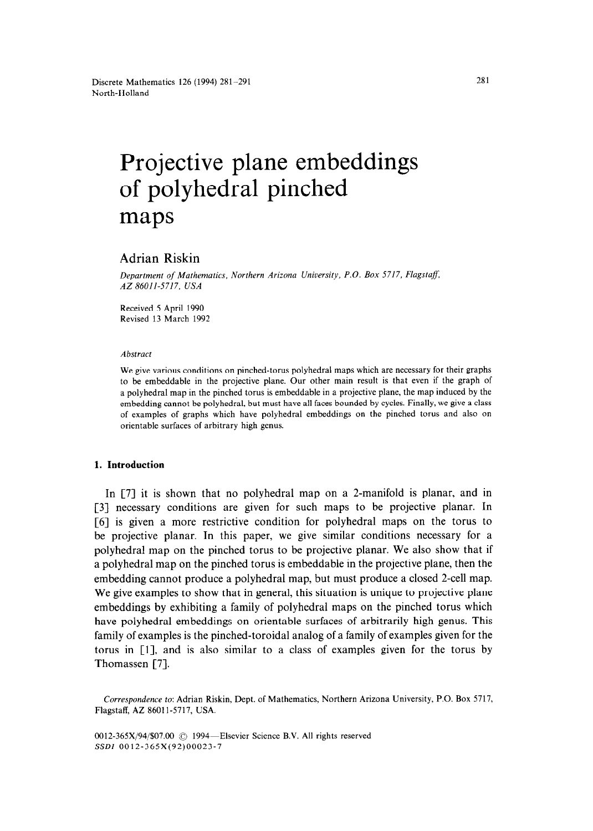# Projective plane embeddings of polyhedral pinched maps

### Adrian Riskin

*Department of Mathematics. Northern Arizona University, P.O. Box 5717. Flagstaff, AZ 86011-5717. USA* 

Received 5 April 1990 Revised 13 March 1992

#### *Abstract*

We give various conditions on pinched-torus polyhedral maps which are necessary for their graphs to be embeddable in the projective plane. Our other main result is that even if the graph of a polyhedral map in the pinched torus is embeddable in a projective plane, the map induced by the embedding cannot be polyhedral, but must have all faces bounded by cycles. Finally, we give a class of examples of graphs which have polyhedral embeddings on the pinched torus and also on orientable surfaces of arbitrary high genus.

#### **1. Introduction**

In [7] it is shown that no polyhedral map on a 2-manifold is planar, and in [3] necessary conditions are given for such maps to be projective planar. In [6] is given a more restrictive condition for polyhedral maps on the torus to be projective planar. In this paper, we give similar conditions necessary for a polyhedral map on the pinched torus to be projective planar. We also show that if a polyhedral map on the pinched torus is embeddable in the projective plane, then the embedding cannot produce a polyhedral map, but must produce a closed 2-cell map. We give examples to show that in general, this situation is unique to projective plane embeddings by exhibiting a family of polyhedral maps on the pinched torus which have polyhedral embeddings on orientable surfaces of arbitrarily high genus. This family of examples is the pinched-toroidal analog of a family of examples given for the torus in [l], and is also similar to a class of examples given for the torus by Thomassen [7].

*Correspondence* to: Adrian Riskin, Dept. of Mathematics, Northern Arizona University, P.O. Box 5717, Flagstaff, AZ 86011-5717, USA.

0012-365X/94/\$07.00 C 1994—Elsevier Science B.V. All rights reserved SSDI 0012-365X(92)00023-7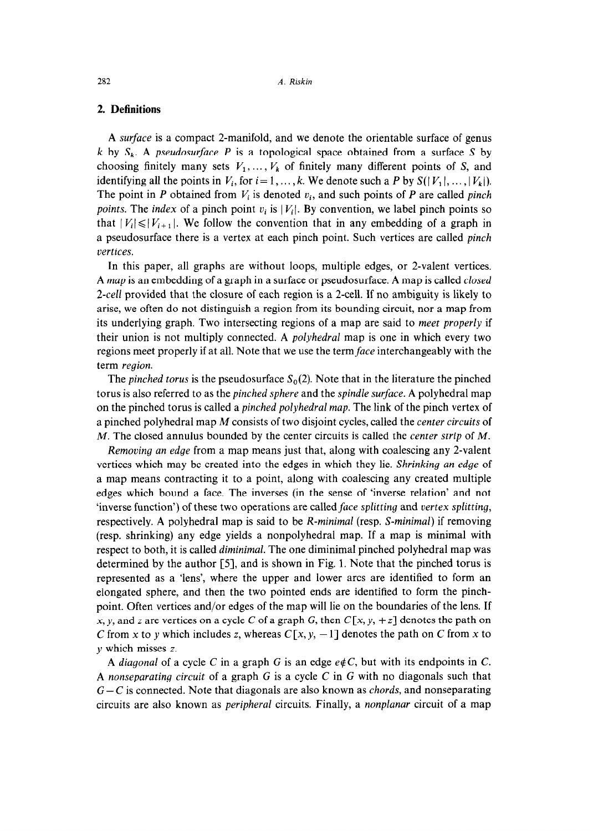#### **2. Definitions**

A *surface* is a compact 2-manifold, and we denote the orientable surface of genus *k* by  $S_k$ . A *pseudosurface P* is a topological space obtained from a surface *S* by choosing finitely many sets  $V_1, \ldots, V_k$  of finitely many different points of S, and identifying all the points in  $V_i$ , for  $i = 1, ..., k$ . We denote such a P by  $S(|V_1|, ..., |V_k|)$ . The point in *P* obtained from  $V_i$  is denoted  $v_i$ , and such points of *P* are called *pinch points.* The *index* of a pinch point  $v_i$  is  $|V_i|$ . By convention, we label pinch points so that  $|V_i| \leq |V_{i+1}|$ . We follow the convention that in any embedding of a graph in a pseudosurface there is a vertex at each pinch point. Such vertices are called *pinch vertices.* 

In this paper, all graphs are without loops, multiple edges, or 2-valent vertices. A *map* is an embedding of a graph in a surface or pseudosurface. A map is called *closed 2-cell* provided that the closure of each region is a 2-cell. If no ambiguity is likely to arise, we often do not distinguish a region from its bounding circuit, nor a map from its underlying graph. Two intersecting regions of a map are said to *meet properly* if their union is not multiply connected. A *polyhedral* map is one in which every two regions meet properly if at all. Note that we use the term face interchangeably with the term *region.* 

The *pinched torus* is the pseudosurface  $S<sub>0</sub>(2)$ . Note that in the literature the pinched torus is also referred to as the *pinched sphere* and the *spindle surface.* A polyhedral map on the pinched torus is called a *pinched polyhedral map.* The link of the pinch vertex of a pinched polyhedral map M consists of two disjoint cycles, called the *center circuits* of M. The closed annulus bounded by the center circuits is called the *center strip* of *M.* 

*Removing an edge* from a map means just that, along with coalescing any 2-valent vertices which may be created into the edges in which they lie. *Shrinking an edge* of a map means contracting it to a point, along with coalescing any created multiple edges which bound a face. The inverses (in the sense of 'inverse relation' and not 'inverse function') of these two operations are called *face splitting* and vertex splitting, respectively. A polyhedral map is said to be *R-minimal* (resp. *S-minimal)* if removing (resp. shrinking) any edge yields a nonpolyhedral map. If a map is minimal with respect to both, it is called *diminimal.* The one diminimal pinched polyhedral map was determined by the author [5], and is shown in Fig. 1. Note that the pinched torus is represented as a 'lens', where the upper and lower arcs are identified to form an elongated sphere, and then the two pointed ends are identified to form the pinchpoint. Often vertices and/or edges of the map will lie on the boundaries of the lens. If x, y, and z are vertices on a cycle C of a graph G, then  $C[x, y, +z]$  denotes the path on C from x to y which includes z, whereas  $C[x, y, -1]$  denotes the path on C from x to y which misses z.

A *diagonal* of a cycle C in a graph G is an edge  $e\notin C$ , but with its endpoints in C. A *nonseparating circuit* of a graph G is a cycle C in G with no diagonals such that G - C is connected. Note that diagonals are also known as *chords,* and nonseparating circuits are also known as *peripheral* circuits. Finally, a *nonplanar* circuit of a map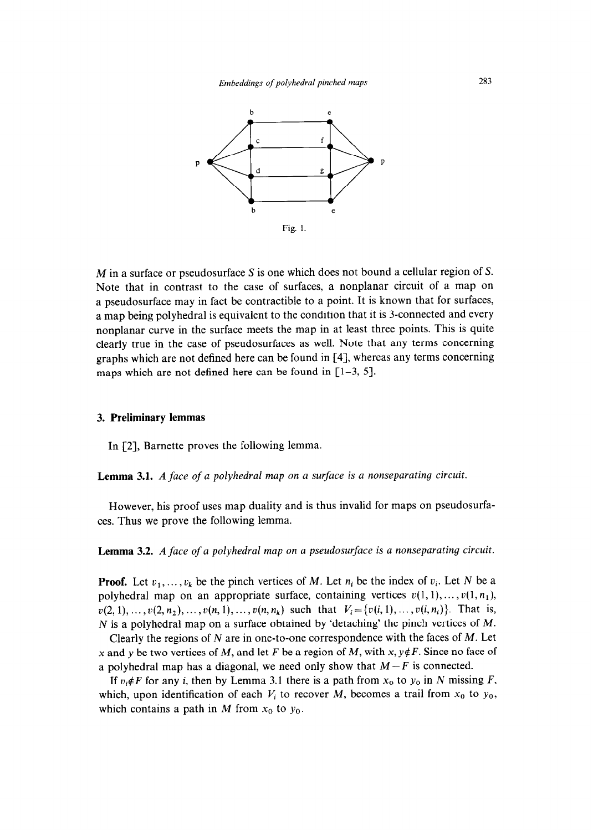

M in a surface or pseudosurface S is one which does not bound a cellular region of S. Note that in contrast to the case of surfaces, a nonplanar circuit of a map on a pseudosurface may in fact be contractible to a point. It is known that for surfaces, a map being polyhedral is equivalent to the condition that it is 3-connected and every nonplanar curve in the surface meets the map in at least three points. This is quite clearly true in the case of pseudosurfaces as well. Note that any terms concerning graphs which are not defined here can be found in [4], whereas any terms concerning maps which are not defined here can be found in  $[1-3, 5]$ .

#### 3. **Preliminary lemmas**

In [2], Barnette proves the following lemma.

**Lemma 3.1.** *A face of a polyhedral map on a surface is a nonseparating circuit.* 

However, his proof uses map duality and is thus invalid for maps on pseudosurfaces. Thus we prove the following lemma.

**Lemma 3.2.** *A face of a polyhedral map on a pseudosurface is a nonseparating circuit.* 

**Proof.** Let  $v_1, \ldots, v_k$  be the pinch vertices of *M*. Let  $n_i$  be the index of  $v_i$ . Let *N* be a polyhedral map on an appropriate surface, containing vertices  $v(1, 1), \ldots, v(1, n_1)$ ,  $v(2, 1), \ldots, v(2, n_2), \ldots, v(n, 1), \ldots, v(n, n_k)$  such that  $V_i = \{v(i, 1), \ldots, v(i, n_i)\}\$ . That is, N is a polyhedral map on a surface obtained by 'detaching' the pinch vertices of *M.* 

Clearly the regions of N are in one-to-one correspondence with the faces of *M.* Let x and y be two vertices of M, and let F be a region of M, with x,  $y \notin F$ . Since no face of a polyhedral map has a diagonal, we need only show that  $M-F$  is connected.

If  $v_i \notin F$  for any *i*, then by Lemma 3.1 there is a path from  $x_0$  to  $y_0$  in N missing *F*, which, upon identification of each  $V_i$  to recover M, becomes a trail from  $x_0$  to  $y_0$ , which contains a path in *M* from  $x_0$  to  $y_0$ .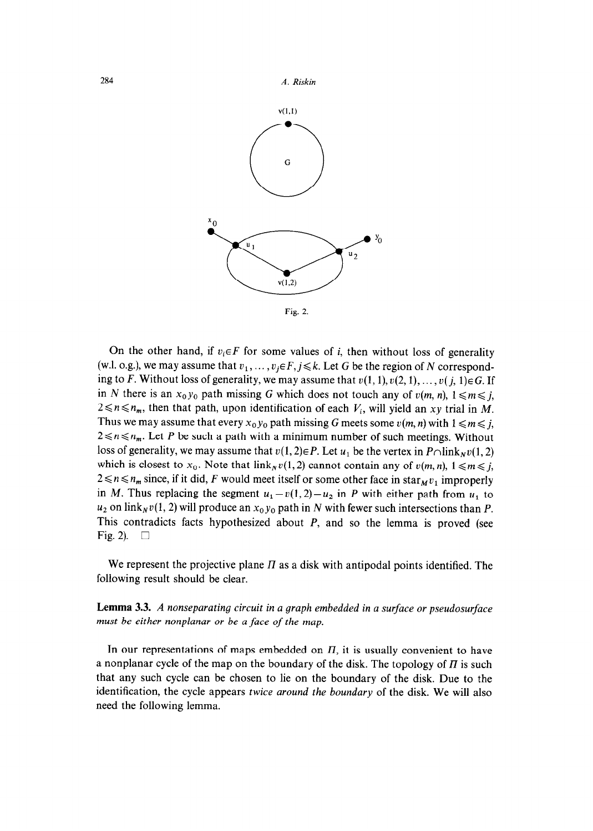

On the other hand, if  $v_i \in F$  for some values of i, then without loss of generality (w.l. o.g.), we may assume that  $v_1, \ldots, v_i \in F, j \leq k$ . Let G be the region of N corresponding to *F*. Without loss of generality, we may assume that  $v(1, 1), v(2, 1), \ldots, v(j, 1) \in G$ . If in N there is an  $x_0y_0$  path missing G which does not touch any of  $v(m, n)$ ,  $1 \le m \le j$ ,  $2 \le n \le n_m$ , then that path, upon identification of each  $V_i$ , will yield an xy trial in M. Thus we may assume that every  $x_0y_0$  path missing G meets some  $v(m, n)$  with  $1 \le m \le j$ ,  $2 \le n \le n_m$ . Let *P* be such a path with a minimum number of such meetings. Without loss of generality, we may assume that  $v(1, 2) \in P$ . Let  $u_1$  be the vertex in  $P \cap \text{link}_N v(1, 2)$ which is closest to  $x_0$ . Note that  $\lim_{x \to a} v(1, 2)$  cannot contain any of  $v(m, n)$ ,  $1 \le m \le j$ ,  $2 \le n \le n_m$  since, if it did, *F* would meet itself or some other face in star<sub>M</sub> $v_1$  improperly in *M*. Thus replacing the segment  $u_1 - v(1, 2) - u_2$  in *P* with either path from  $u_1$  to  $u_2$  on link<sub>N</sub>v(1, 2) will produce an  $x_0y_0$  path in N with fewer such intersections than P. This contradicts facts hypothesized about *P,* and so the lemma is proved (see Fig. 2).  $\Box$ 

We represent the projective plane  $\Pi$  as a disk with antipodal points identified. The following result should be clear.

**Lemma 3.3.** *A nonseparating circuit in a graph embedded in a surface or pseudosurface must be either nonplanar or be a face of the map,* 

In our representations of maps embedded on  $\Pi$ , it is usually convenient to have a nonplanar cycle of the map on the boundary of the disk. The topology of  $\Pi$  is such that any such cycle can be chosen to lie on the boundary of the disk. Due to the identification, the cycle appears *twice around the boundary* of the disk. We will also need the following lemma.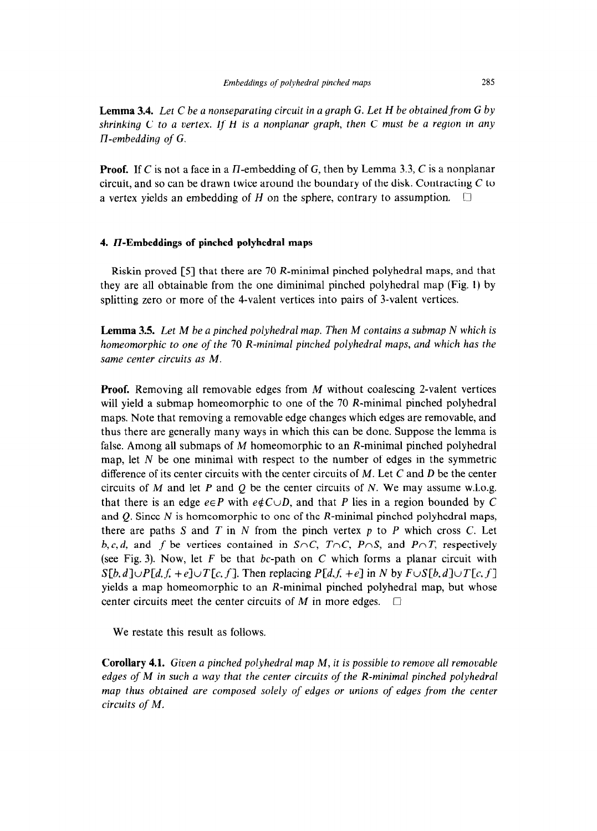**Lemma 3.4.** *Let C be a nonseparating circuit in a graph G. Let H be obtained from G by shrinking C to a vertex. If H is a nonplanar graph, then C must be a region in any H-embedding of G.* 

**Proof.** If C is not a face in a  $\Pi$ -embedding of G, then by Lemma 3.3, C is a nonplanar circuit, and so can be drawn twice around the boundary of the disk. Contracting  $C$  to a vertex yields an embedding of *H* on the sphere, contrary to assumption.

#### 4. **II-Embeddings of pinched polyhedral maps**

Riskin proved [S] that there are 70 R-minimal pinched polyhedral maps, and that they are all obtainable from the one diminimal pinched polyhedral map (Fig. 1) by splitting zero or more of the 4-valent vertices into pairs of 3-valent vertices.

**Lemma 3.5.** *Let M be a pinched polyhedral map. Then M contains a submap N which is homeomorphic to one of the 70 R-minimal pinched polyhedral maps, and which has the same center circuits as M.* 

**Proof.** Removing all removable edges from *M* without coalescing 2-valent vertices will yield a submap homeomorphic to one of the 70 R-minimal pinched polyhedral maps. Note that removing a removable edge changes which edges are removable, and thus there are generally many ways in which this can be done. Suppose the lemma is false. Among all submaps of *M* homeomorphic to an R-minimal pinched polyhedral map, let N be one minimal with respect to the number of edges in the symmetric difference of its center circuits with the center circuits of *M.* Let C and D be the center circuits of *M* and let *P* and Q be the center circuits of N. We may assume w.1.o.g. that there is an edge  $e \in P$  with  $e \notin C \cup D$ , and that *P* lies in a region bounded by *C* and  $Q$ . Since  $N$  is homeomorphic to one of the  $R$ -minimal pinched polyhedral maps, there are paths S and *T* in N from the pinch vertex *p* to *P* which cross C. Let *b,c,d,* and *f* be vertices contained in *S<sub>nC</sub>*, *T<sub>nC</sub>*, *P<sub>nS</sub>*, and *P<sub>nT</sub>*, respectively (see Fig. 3). Now, let F be that bc-path on C which forms a planar circuit with  $S[b,d] \cup P[d,f,+e] \cup T[c,f]$ . Then replacing  $P[d,f,+e]$  in N by  $F \cup S[b,d] \cup T[c,f]$ yields a map homeomorphic to an R-minimal pinched polyhedral map, but whose center circuits meet the center circuits of  $M$  in more edges.  $\Box$ 

We restate this result as follows.

**Corollary 4.1.** *Given a pinched polyhedral map M, it is possible to remove all removable edges of M* in *such a way that the center circuits of the R-minimal pinched polyhedral map thus obtained are composed solely of edges or unions of edges from the center circuits of M.*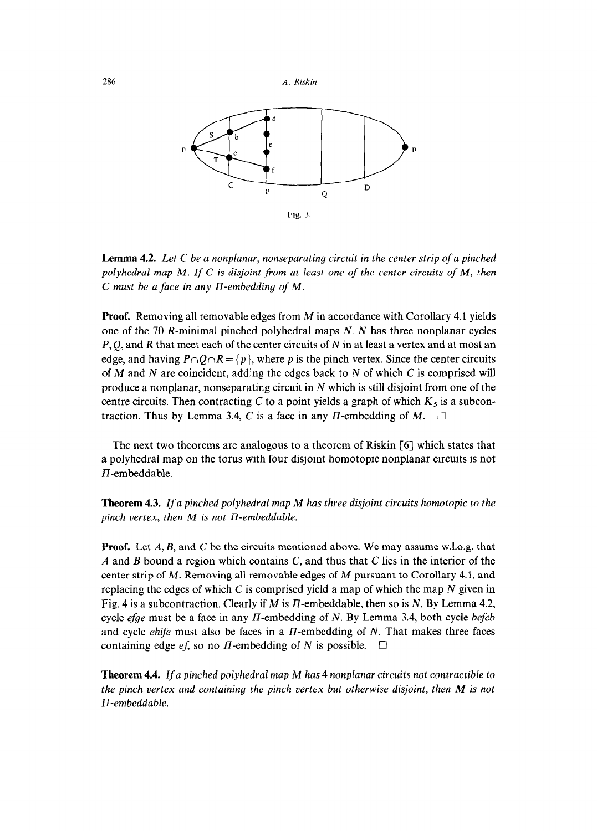

**Lemma 4.2.** *Let C be a nonplanar, nonseparating circuit in the center strip of a pinched polyhedral map M. If C is disjoint from at least one of the center circuits of M, then C must be a face in any n-embedding of M.* 

**Proof.** Removing all removable edges from *M* in accordance with Corollary 4.1 yields one of the 70 R-minimal pinched polyhedral maps N. N has three nonplanar cycles  $P, Q$ , and R that meet each of the center circuits of N in at least a vertex and at most an edge, and having  $P \cap Q \cap R = \{p\}$ , where p is the pinch vertex. Since the center circuits of *M* and N are coincident, adding the edges back to N of which C is comprised will produce a nonplanar, nonseparating circuit in  $N$  which is still disjoint from one of the centre circuits. Then contracting C to a point yields a graph of which  $K_5$  is a subcontraction. Thus by Lemma 3.4, C is a face in any  $\Pi$ -embedding of  $M$ .  $\square$ 

The next two theorems are analogous to a theorem of Riskin [6] which states that a polyhedral map on the torus with four disjoint homotopic nonplanar circuits is not  $\Pi$ -embeddable.

**Theorem 4.3.** *If a pinched polyhedral map M has three disjoint circuits homotopic to the*   $pinch$  vertex, then  $M$  is not  $\Pi$ -embeddable.

**Proof.** Let A, B, and C be the circuits mentioned above. We may assume w.l.o.g. that *A* and B bound a region which contains C, and thus that C lies in the interior of the center strip of *M.* Removing all removable edges of *M* pursuant to Corollary 4.1, and replacing the edges of which C is comprised yield a map of which the map  $N$  given in Fig. 4 is a subcontraction. Clearly if *M* is I7-embeddable, then so is N. By Lemma 4.2, cycle *efge* must be a face in any  $\Pi$ -embedding of N. By Lemma 3.4, both cycle *befcb* and cycle  $\ell$ hife must also be faces in a  $\pi$ -embedding of N. That makes three faces containing edge ef, so no II-embedding of N is possible.  $\Box$ 

**Theorem 4.4. lf** a *pinched polyhedral* map *M has* 4 nonplanar *circuits not* contractible to *the pinch vertex and containing the pinch vertex but otherwise disjoint, then M is not II-embeddable.*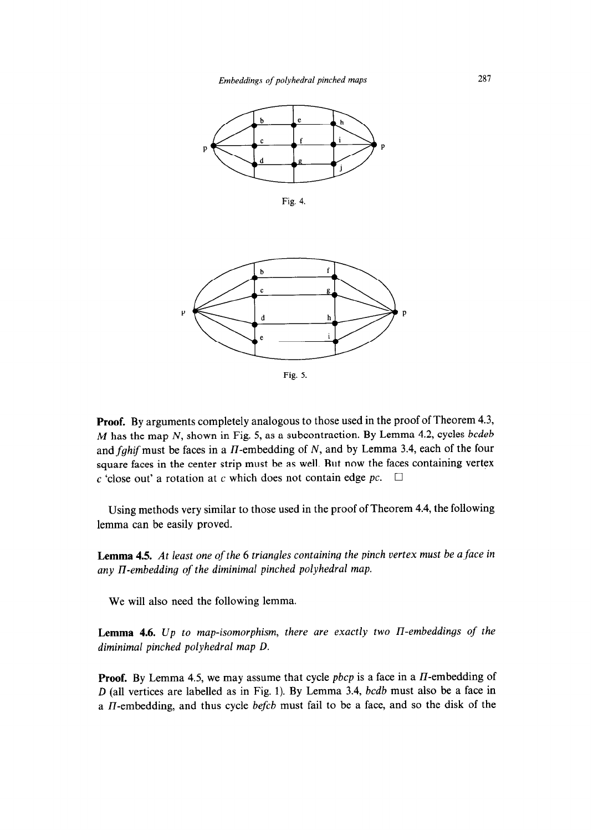

**Fig. 4.** 



**Fig. 5.** 

**Proof.** By arguments completely analogous to those used in the proof of Theorem 4.3, *M* has the map N, shown in Fig. 5, as a subcontraction. By Lemma 4.2, cycles *bcdeb*  and fghif must be faces in a  $II$ -embedding of N, and by Lemma 3.4, each of the four square faces in the center strip must be as well. But now the faces containing vertex c 'close out' a rotation at c which does not contain edge  $pc$ .  $\Box$ 

Using methods very similar to those used in the proof of Theorem 4.4, the following lemma can be easily proved.

**Lemma 4.5.** *At least one of the* 6 *triangles containing the pinch vertex must be a face in any n-embedding of the diminimal pinched polyhedral map.* 

We will also need the following lemma.

**Lemma 4.6.** *Up to map-isomorphism, there are exactly two II-embeddings of the diminimal pinched polyhedral map D.* 

**Proof.** By Lemma 4.5, we may assume that cycle *pbcp* is a face in a  $\Pi$ -embedding of *D* (all vertices are labelled as in Fig. 1). By Lemma 3.4, *bcdb* must also be a face in a II-embedding, and thus cycle *befcb* must fail to be a face, and so the disk of the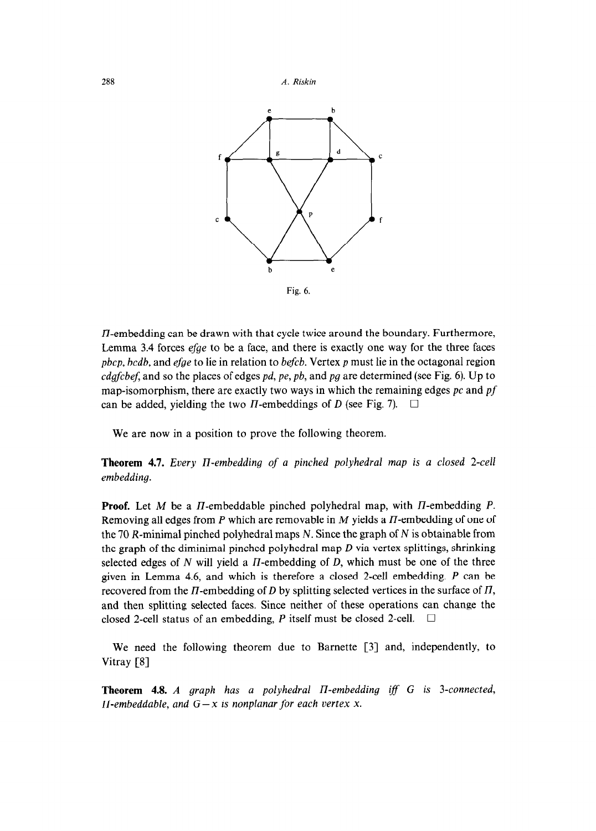288 *A. Riskin* 





 $\Pi$ -embedding can be drawn with that cycle twice around the boundary. Furthermore, Lemma 3.4 forces efge to be a face, and there is exactly one way for the three faces *pbcp, bcdb,* and efge to lie in relation to *befcb.* Vertex *p* must lie in the octagonal region *cdgjcbef,* and so the places of edges *pd, pe, pb,* and *pg* are determined (see Fig. 6). Up to map-isomorphism, there are exactly two ways in which the remaining edges *pc* and *pf*  can be added, yielding the two  $\Pi$ -embeddings of  $D$  (see Fig. 7).  $\square$ 

We are now in a position to prove the following theorem.

**Theorem 4.7.** *Every n-embedding of a pinched polyhedral map is a closed 2-cell embedding.* 

**Proof.** Let *M* be a *II*-embeddable pinched polyhedral map, with *II*-embedding *P*. Removing all edges from  $P$  which are removable in  $M$  yields a  $\Pi$ -embedding of one of the 70 R-minimal pinched polyhedral maps N. Since the graph of N is obtainable from the graph of the diminimal pinched polyhedral map *D* via vertex splittings, shrinking selected edges of N will yield a II-embedding of *D,* which must be one of the three given in Lemma 4.6, and which is therefore a closed 2-cell embedding. *P* can be recovered from the II-embedding of *D* by splitting selected vertices in the surface of II, and then splitting selected faces. Since neither of these operations can change the closed 2-cell status of an embedding,  $P$  itself must be closed 2-cell.  $\Box$ 

We need the following theorem due to Barnette [3] and, independently, to Vitray [S]

**Theorem 4.8.** *A graph has a polyhedral II-embedding iff G is 3-connected, II-embeddable, and*  $G - x$  *is nonplanar for each vertex x.*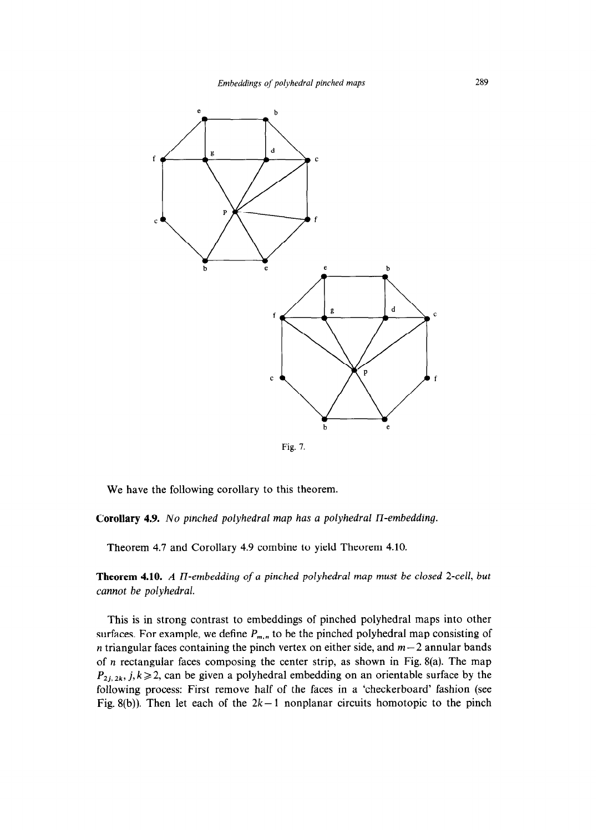

Fig. I.

We have the following corollary to this theorem.

**Corollary 4.9. No** *pinched polyhedral map has a polyhedral U-embedding.* 

Theorem 4.7 and Corollary 4.9 combine to yield Theorem 4.10.

**Theorem 4.10.** *A n-embedding of a pinched polyhedral map must be closed 2-cell, but cannot be polyhedral.* 

This is in strong contrast to embeddings of pinched polyhedral maps into other surfaces. For example, we define  $P_{m,n}$  to be the pinched polyhedral map consisting of *n* triangular faces containing the pinch vertex on either side, and  $m-2$  annular bands of *n* rectangular faces composing the center strip, as shown in Fig. 8(a). The map  $P_{2i, 2k}$ ,  $j, k \ge 2$ , can be given a polyhedral embedding on an orientable surface by the following process: First remove half of the faces in a 'checkerboard' fashion (see Fig. 8(b)). Then let each of the  $2k-1$  nonplanar circuits homotopic to the pinch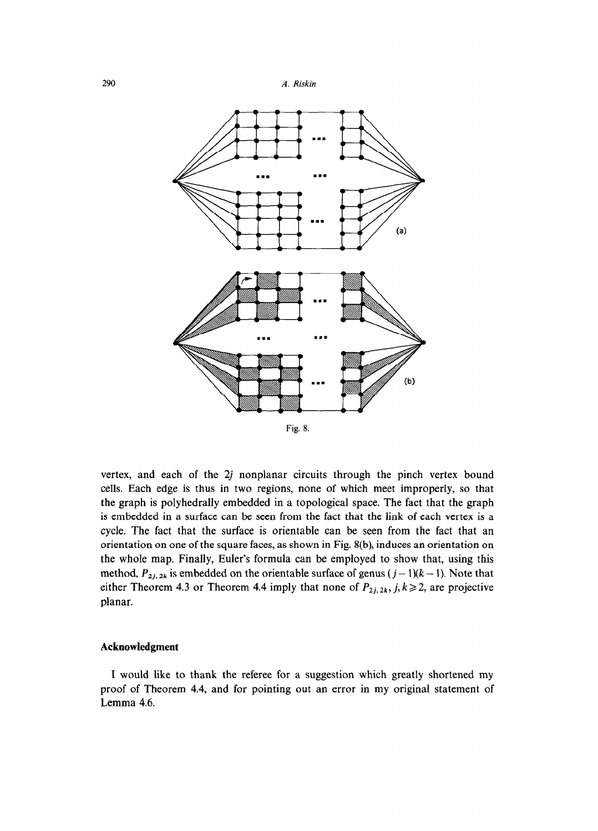

vertex, and each of the 2j nonplanar circuits through the pinch vertex bound cells. Each edge is thus in two regions, none of which meet improperly, so that the graph is polyhedrally embedded in a topological space. The fact that the graph is embedded in a surface can be seen from the fact that the link of each vertex is a cycle. The fact that the surface is orientable can be seen from the fact that an orientation on one of the square faces, as shown in Fig. S(b), induces an orientation on the whole map. Finally, Euler's formula can be employed to show that, using this method,  $P_{2j, 2k}$  is embedded on the orientable surface of genus ( $j-1$ )( $k-1$ ). Note that either Theorem 4.3 or Theorem 4.4 imply that none of  $P_{2j,2k}$ ,  $j, k \ge 2$ , are projective planar.

#### **Acknowledgment**

I would like to thank the referee for a suggestion which greatly shortened my proof of Theorem 4.4, and for pointing out an error in my original statement of Lemma 4.6.